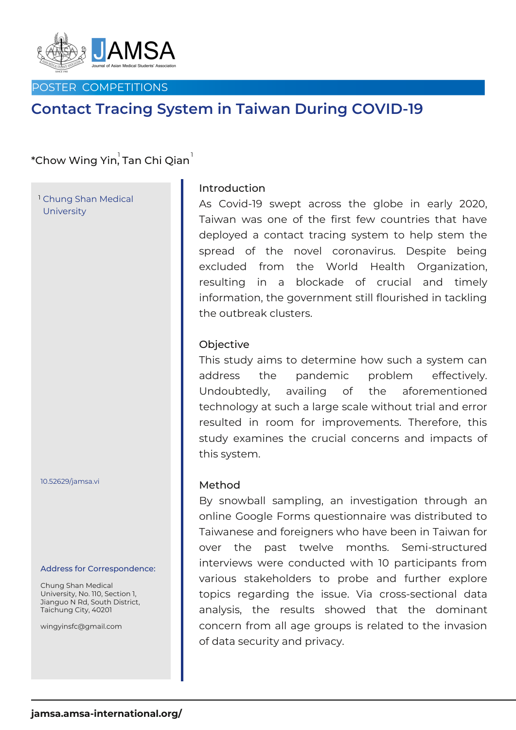

#### POSTER COMPETITIONS

# **Contact Tracing System in Taiwan During COVID-19**

## \*Chow Wing Yin, Tan Chi Qian $^{\rm !}$

Chung Shan Medical 1 **University** 

10.52629/jamsa.vi

#### Address for Correspondence:

Chung Shan Medical University, No. 110, Section 1, Jianguo N Rd, South District, Taichung City, 40201

wingyinsfc@gmail.com

#### Introduction

As Covid-19 swept across the globe in early 2020, Taiwan was one of the first few countries that have deployed a contact tracing system to help stem the spread of the novel coronavirus. Despite being excluded from the World Health Organization, resulting in a blockade of crucial and timely information, the government still flourished in tackling the outbreak clusters.

#### **Objective**

This study aims to determine how such a system can address the pandemic problem effectively. Undoubtedly, availing of the aforementioned technology at such a large scale without trial and error resulted in room for improvements. Therefore, this study examines the crucial concerns and impacts of this system.

#### Method

By snowball sampling, an investigation through an online Google Forms questionnaire was distributed to Taiwanese and foreigners who have been in Taiwan for over the past twelve months. Semi-structured interviews were conducted with 10 participants from various stakeholders to probe and further explore topics regarding the issue. Via cross-sectional data analysis, the results showed that the dominant concern from all age groups is related to the invasion of data security and privacy.